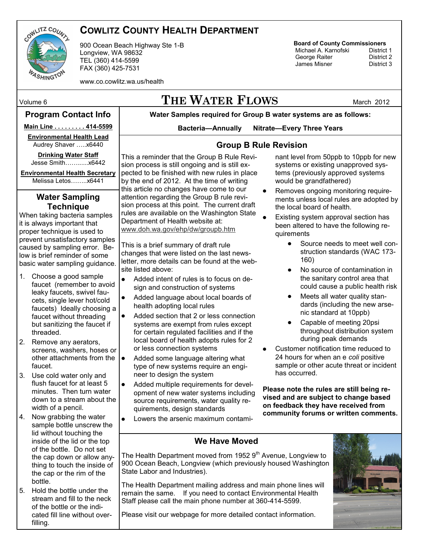

## **COWLITZ COUNTY HEALTH DEPARTMENT**

900 Ocean Beach Highway Ste 1-B Longview, WA 98632 TEL (360) 414-5599 FAX (360) 425-7531

www.co.cowlitz.wa.us/health

# Volume 6 **THE WATER FLOWS** March 2012

#### **Program Contact Info**

**Water Samples required for Group B water systems are as follows: Bacteria—Annually Nitrate—Every Three Years**

**Group B Rule Revision**

### **Main Line . . . . . . . . . 414-5599**

**Environmental Health Lead** Audrey Shaver …..x6440

**Drinking Water Staff**  Jesse Smith……......x6442

**Environmental Health Secretary** Melissa Letos……..x6441

#### **Water Sampling Technique**

When taking bacteria samples it is always important that proper technique is used to prevent unsatisfactory samples caused by sampling error. Below is brief reminder of some basic water sampling guidance.

- 1. Choose a good sample faucet (remember to avoid leaky faucets, swivel faucets, single lever hot/cold faucets) Ideally choosing a faucet without threading but sanitizing the faucet if threaded.
- 2. Remove any aerators, screens, washers, hoses or other attachments from the faucet.
- 3. Use cold water only and flush faucet for at least 5 minutes. Then turn water down to a stream about the width of a pencil.
- 4. Now grabbing the water sample bottle unscrew the lid without touching the inside of the lid or the top of the bottle. Do not set the cap down or allow anything to touch the inside of the cap or the rim of the bottle.
- 5. Hold the bottle under the stream and fill to the neck of the bottle or the indicated fill line without overfilling.

This a reminder that the Group B Rule Revision process is still ongoing and is still expected to be finished with new rules in place by the end of 2012. At the time of writing this article no changes have come to our attention regarding the Group B rule revision process at this point. The current draft rules are available on the Washington State Department of Health website at: [www.doh.wa.gov/ehp/dw/groupb.htm](http://www.doh.wa.gov/ehp/dw/groupb.htm)

This is a brief summary of draft rule changes that were listed on the last newsletter, more details can be found at the website listed above:

- $\bullet$ Added intent of rules is to focus on design and construction of systems
- Added language about local boards of health adopting local rules
- Added section that 2 or less connection systems are exempt from rules except for certain regulated facilities and if the local board of health adopts rules for 2 or less connection systems
- Added some language altering what type of new systems require an engineer to design the system
- Added multiple requirements for development of new water systems including source requirements, water quality requirements, design standards
- Lowers the arsenic maximum contami-

#### nant level from 50ppb to 10ppb for new systems or existing unapproved systems (previously approved systems would be grandfathered)

**Board of County Commissioners** Michael A. Karnofski District 1<br>George Raiter District 2 George Raiter **District 2**<br>James Misner **District 3** 

James Misner

- Removes ongoing monitoring requirements unless local rules are adopted by the local board of health.
- Existing system approval section has been altered to have the following requirements
	- Source needs to meet well construction standards (WAC 173- 160)
	- No source of contamination in the sanitary control area that could cause a public health risk
	- Meets all water quality standards (including the new arsenic standard at 10ppb)
	- Capable of meeting 20psi throughout distribution system during peak demands
- Customer notification time reduced to 24 hours for when an e *coli* positive sample or other acute threat or incident has occurred.

**Please note the rules are still being revised and are subject to change based on feedback they have received from community forums or written comments.**

## **We Have Moved**

The Health Department moved from 1952  $9<sup>th</sup>$  Avenue, Longview to 900 Ocean Beach, Longview (which previously housed Washington State Labor and Industries).

The Health Department mailing address and main phone lines will remain the same. If you need to contact Environmental Health Staff please call the main phone number at 360-414-5599.



Please visit our webpage for more detailed contact information.